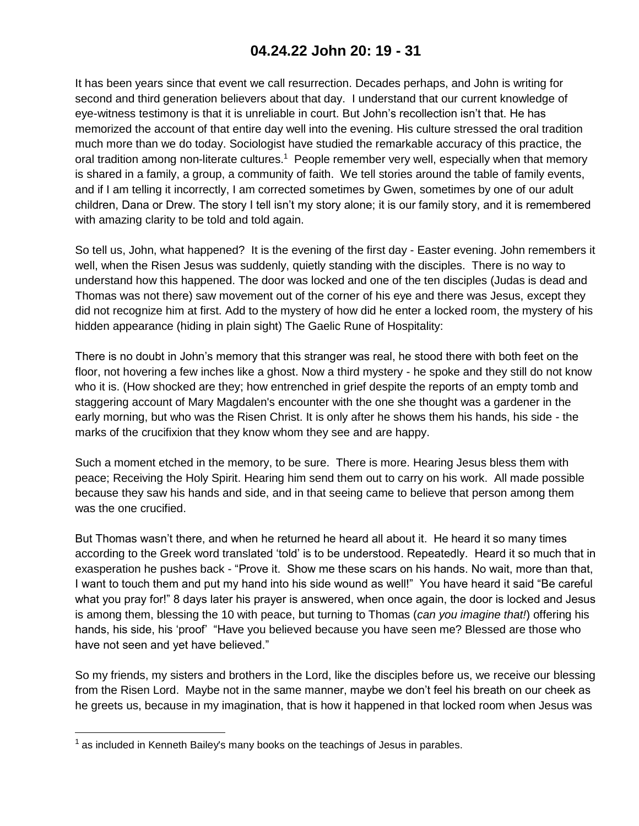## **04.24.22 John 20: 19 - 31**

It has been years since that event we call resurrection. Decades perhaps, and John is writing for second and third generation believers about that day. I understand that our current knowledge of eye-witness testimony is that it is unreliable in court. But John's recollection isn't that. He has memorized the account of that entire day well into the evening. His culture stressed the oral tradition much more than we do today. Sociologist have studied the remarkable accuracy of this practice, the oral tradition among non-literate cultures.<sup>1</sup> People remember very well, especially when that memory is shared in a family, a group, a community of faith. We tell stories around the table of family events, and if I am telling it incorrectly, I am corrected sometimes by Gwen, sometimes by one of our adult children, Dana or Drew. The story I tell isn't my story alone; it is our family story, and it is remembered with amazing clarity to be told and told again.

So tell us, John, what happened? It is the evening of the first day - Easter evening. John remembers it well, when the Risen Jesus was suddenly, quietly standing with the disciples. There is no way to understand how this happened. The door was locked and one of the ten disciples (Judas is dead and Thomas was not there) saw movement out of the corner of his eye and there was Jesus, except they did not recognize him at first. Add to the mystery of how did he enter a locked room, the mystery of his hidden appearance (hiding in plain sight) The Gaelic Rune of Hospitality:

There is no doubt in John's memory that this stranger was real, he stood there with both feet on the floor, not hovering a few inches like a ghost. Now a third mystery - he spoke and they still do not know who it is. (How shocked are they; how entrenched in grief despite the reports of an empty tomb and staggering account of Mary Magdalen's encounter with the one she thought was a gardener in the early morning, but who was the Risen Christ. It is only after he shows them his hands, his side - the marks of the crucifixion that they know whom they see and are happy.

Such a moment etched in the memory, to be sure. There is more. Hearing Jesus bless them with peace; Receiving the Holy Spirit. Hearing him send them out to carry on his work. All made possible because they saw his hands and side, and in that seeing came to believe that person among them was the one crucified.

But Thomas wasn't there, and when he returned he heard all about it. He heard it so many times according to the Greek word translated 'told' is to be understood. Repeatedly. Heard it so much that in exasperation he pushes back - "Prove it. Show me these scars on his hands. No wait, more than that, I want to touch them and put my hand into his side wound as well!" You have heard it said "Be careful what you pray for!" 8 days later his prayer is answered, when once again, the door is locked and Jesus is among them, blessing the 10 with peace, but turning to Thomas (*can you imagine that!*) offering his hands, his side, his 'proof' "Have you believed because you have seen me? Blessed are those who have not seen and yet have believed."

So my friends, my sisters and brothers in the Lord, like the disciples before us, we receive our blessing from the Risen Lord. Maybe not in the same manner, maybe we don't feel his breath on our cheek as he greets us, because in my imagination, that is how it happened in that locked room when Jesus was

 $<sup>1</sup>$  as included in Kenneth Bailey's many books on the teachings of Jesus in parables.</sup>